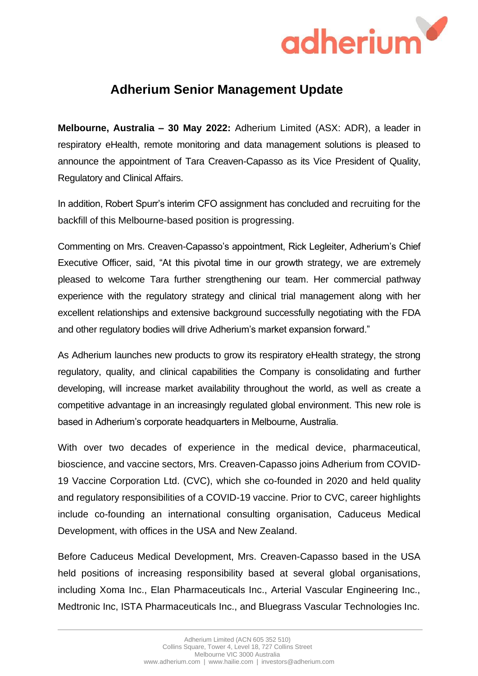

## **Adherium Senior Management Update**

**Melbourne, Australia – 30 May 2022:** Adherium Limited (ASX: ADR), a leader in respiratory eHealth, remote monitoring and data management solutions is pleased to announce the appointment of Tara Creaven-Capasso as its Vice President of Quality, Regulatory and Clinical Affairs.

In addition, Robert Spurr's interim CFO assignment has concluded and recruiting for the backfill of this Melbourne-based position is progressing.

Commenting on Mrs. Creaven-Capasso's appointment, Rick Legleiter, Adherium's Chief Executive Officer, said, "At this pivotal time in our growth strategy, we are extremely pleased to welcome Tara further strengthening our team. Her commercial pathway experience with the regulatory strategy and clinical trial management along with her excellent relationships and extensive background successfully negotiating with the FDA and other regulatory bodies will drive Adherium's market expansion forward."

As Adherium launches new products to grow its respiratory eHealth strategy, the strong regulatory, quality, and clinical capabilities the Company is consolidating and further developing, will increase market availability throughout the world, as well as create a competitive advantage in an increasingly regulated global environment. This new role is based in Adherium's corporate headquarters in Melbourne, Australia.

With over two decades of experience in the medical device, pharmaceutical, bioscience, and vaccine sectors, Mrs. Creaven-Capasso joins Adherium from COVID-19 Vaccine Corporation Ltd. (CVC), which she co-founded in 2020 and held quality and regulatory responsibilities of a COVID-19 vaccine. Prior to CVC, career highlights include co-founding an international consulting organisation, Caduceus Medical Development, with offices in the USA and New Zealand.

Before Caduceus Medical Development, Mrs. Creaven-Capasso based in the USA held positions of increasing responsibility based at several global organisations, including Xoma Inc., Elan Pharmaceuticals Inc., Arterial Vascular Engineering Inc., Medtronic Inc, ISTA Pharmaceuticals Inc., and Bluegrass Vascular Technologies Inc.